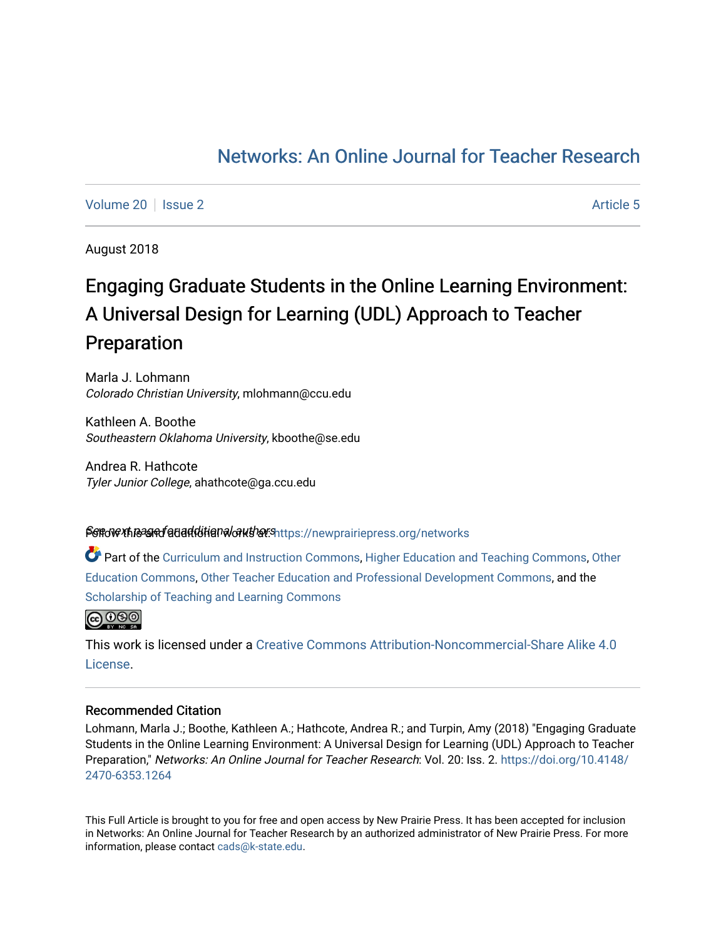# [Networks: An Online Journal for Teacher Research](https://newprairiepress.org/networks)

[Volume 20](https://newprairiepress.org/networks/vol20) | [Issue 2](https://newprairiepress.org/networks/vol20/iss2) Article 5

August 2018

# Engaging Graduate Students in the Online Learning Environment: A Universal Design for Learning (UDL) Approach to Teacher Preparation

Marla J. Lohmann Colorado Christian University, mlohmann@ccu.edu

Kathleen A. Boothe Southeastern Oklahoma University, kboothe@se.edu

Andrea R. Hathcote Tyler Junior College, ahathcote@ga.ccu.edu

## Sert of the and for additional authors interstance press.org/networks

Part of the [Curriculum and Instruction Commons,](http://network.bepress.com/hgg/discipline/786?utm_source=newprairiepress.org%2Fnetworks%2Fvol20%2Fiss2%2F5&utm_medium=PDF&utm_campaign=PDFCoverPages) [Higher Education and Teaching Commons](http://network.bepress.com/hgg/discipline/806?utm_source=newprairiepress.org%2Fnetworks%2Fvol20%2Fiss2%2F5&utm_medium=PDF&utm_campaign=PDFCoverPages), [Other](http://network.bepress.com/hgg/discipline/811?utm_source=newprairiepress.org%2Fnetworks%2Fvol20%2Fiss2%2F5&utm_medium=PDF&utm_campaign=PDFCoverPages)  [Education Commons,](http://network.bepress.com/hgg/discipline/811?utm_source=newprairiepress.org%2Fnetworks%2Fvol20%2Fiss2%2F5&utm_medium=PDF&utm_campaign=PDFCoverPages) [Other Teacher Education and Professional Development Commons](http://network.bepress.com/hgg/discipline/810?utm_source=newprairiepress.org%2Fnetworks%2Fvol20%2Fiss2%2F5&utm_medium=PDF&utm_campaign=PDFCoverPages), and the [Scholarship of Teaching and Learning Commons](http://network.bepress.com/hgg/discipline/1328?utm_source=newprairiepress.org%2Fnetworks%2Fvol20%2Fiss2%2F5&utm_medium=PDF&utm_campaign=PDFCoverPages) 

 $\bigcirc$  000

This work is licensed under a [Creative Commons Attribution-Noncommercial-Share Alike 4.0](https://creativecommons.org/licenses/by-nc-sa/4.0/) [License.](https://creativecommons.org/licenses/by-nc-sa/4.0/)

#### Recommended Citation

Lohmann, Marla J.; Boothe, Kathleen A.; Hathcote, Andrea R.; and Turpin, Amy (2018) "Engaging Graduate Students in the Online Learning Environment: A Universal Design for Learning (UDL) Approach to Teacher Preparation," Networks: An Online Journal for Teacher Research: Vol. 20: Iss. 2. [https://doi.org/10.4148/](https://doi.org/10.4148/2470-6353.1264) [2470-6353.1264](https://doi.org/10.4148/2470-6353.1264) 

This Full Article is brought to you for free and open access by New Prairie Press. It has been accepted for inclusion in Networks: An Online Journal for Teacher Research by an authorized administrator of New Prairie Press. For more information, please contact [cads@k-state.edu](mailto:cads@k-state.edu).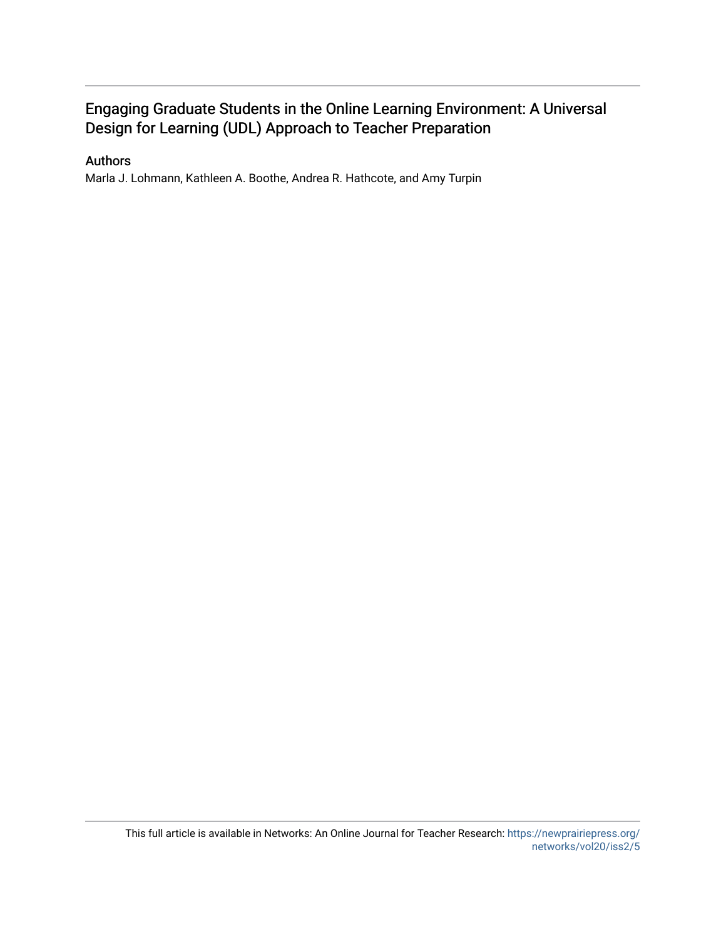## Engaging Graduate Students in the Online Learning Environment: A Universal Design for Learning (UDL) Approach to Teacher Preparation

## Authors

Marla J. Lohmann, Kathleen A. Boothe, Andrea R. Hathcote, and Amy Turpin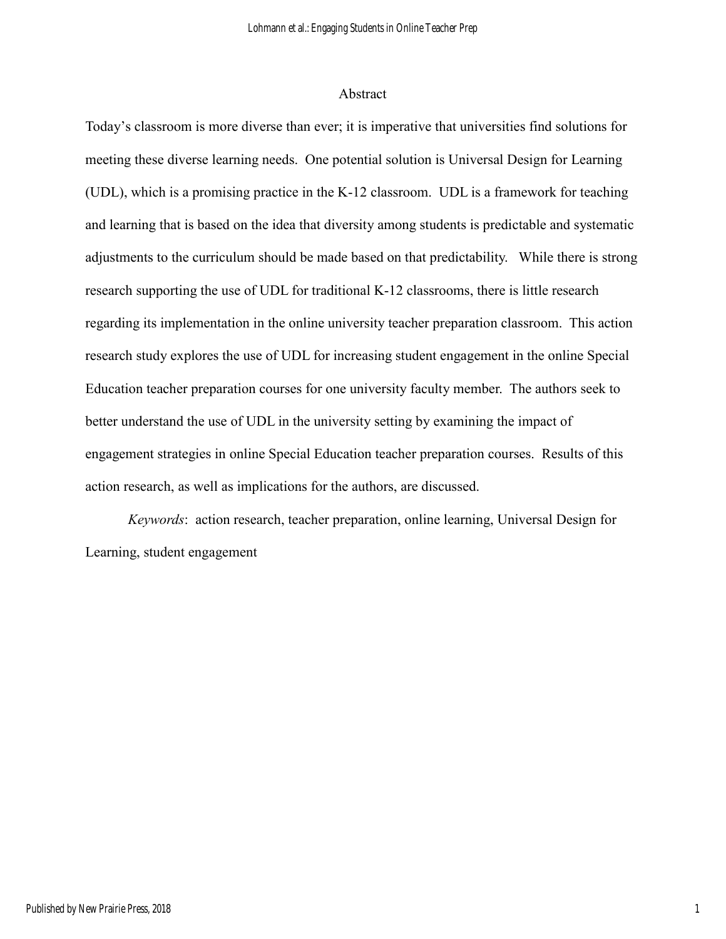#### Abstract

Today's classroom is more diverse than ever; it is imperative that universities find solutions for meeting these diverse learning needs. One potential solution is Universal Design for Learning (UDL), which is a promising practice in the K-12 classroom. UDL is a framework for teaching and learning that is based on the idea that diversity among students is predictable and systematic adjustments to the curriculum should be made based on that predictability. While there is strong research supporting the use of UDL for traditional K-12 classrooms, there is little research regarding its implementation in the online university teacher preparation classroom. This action research study explores the use of UDL for increasing student engagement in the online Special Education teacher preparation courses for one university faculty member. The authors seek to better understand the use of UDL in the university setting by examining the impact of engagement strategies in online Special Education teacher preparation courses. Results of this action research, as well as implications for the authors, are discussed.

*Keywords*: action research, teacher preparation, online learning, Universal Design for Learning, student engagement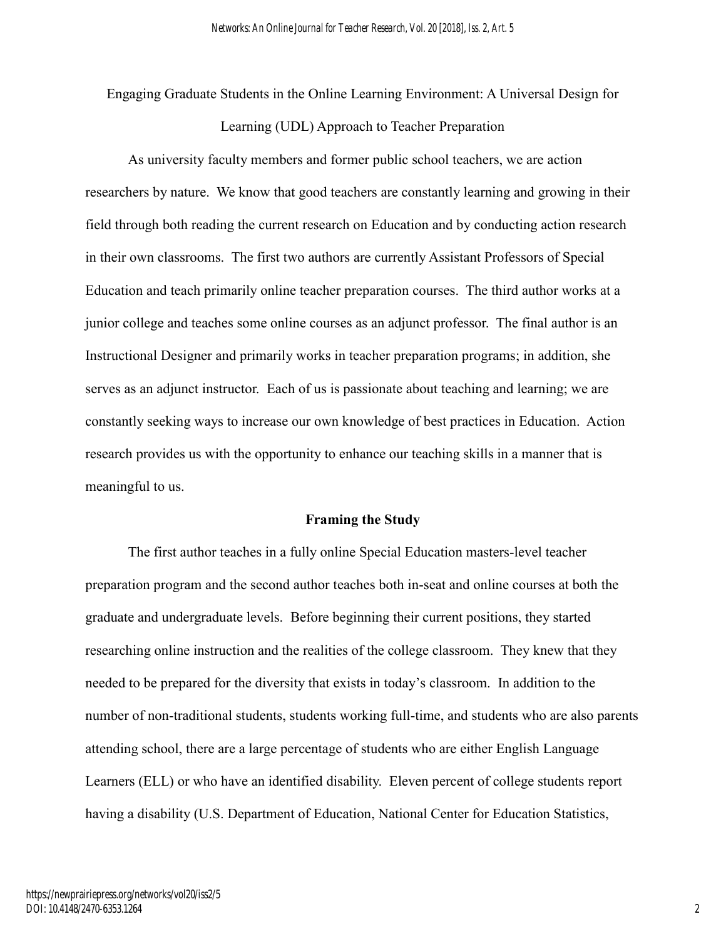Engaging Graduate Students in the Online Learning Environment: A Universal Design for

Learning (UDL) Approach to Teacher Preparation

As university faculty members and former public school teachers, we are action researchers by nature. We know that good teachers are constantly learning and growing in their field through both reading the current research on Education and by conducting action research in their own classrooms. The first two authors are currently Assistant Professors of Special Education and teach primarily online teacher preparation courses. The third author works at a junior college and teaches some online courses as an adjunct professor. The final author is an Instructional Designer and primarily works in teacher preparation programs; in addition, she serves as an adjunct instructor. Each of us is passionate about teaching and learning; we are constantly seeking ways to increase our own knowledge of best practices in Education. Action research provides us with the opportunity to enhance our teaching skills in a manner that is meaningful to us.

#### **Framing the Study**

The first author teaches in a fully online Special Education masters-level teacher preparation program and the second author teaches both in-seat and online courses at both the graduate and undergraduate levels. Before beginning their current positions, they started researching online instruction and the realities of the college classroom. They knew that they needed to be prepared for the diversity that exists in today's classroom. In addition to the number of non-traditional students, students working full-time, and students who are also parents attending school, there are a large percentage of students who are either English Language Learners (ELL) or who have an identified disability. Eleven percent of college students report having a disability (U.S. Department of Education, National Center for Education Statistics,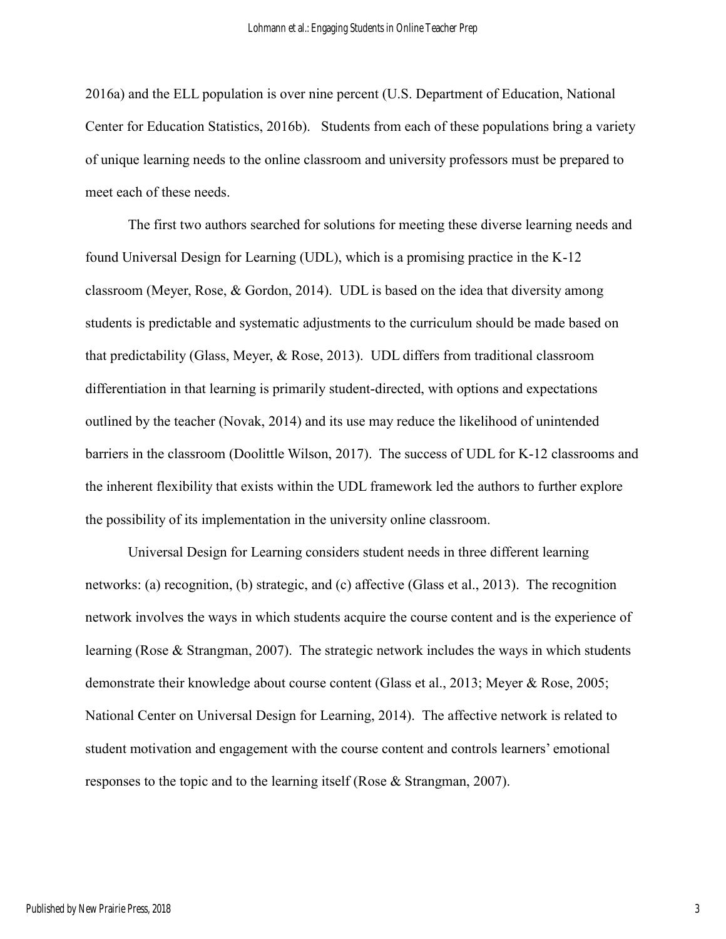2016a) and the ELL population is over nine percent (U.S. Department of Education, National Center for Education Statistics, 2016b). Students from each of these populations bring a variety of unique learning needs to the online classroom and university professors must be prepared to meet each of these needs.

The first two authors searched for solutions for meeting these diverse learning needs and found Universal Design for Learning (UDL), which is a promising practice in the K-12 classroom (Meyer, Rose, & Gordon, 2014). UDL is based on the idea that diversity among students is predictable and systematic adjustments to the curriculum should be made based on that predictability (Glass, Meyer, & Rose, 2013). UDL differs from traditional classroom differentiation in that learning is primarily student-directed, with options and expectations outlined by the teacher (Novak, 2014) and its use may reduce the likelihood of unintended barriers in the classroom (Doolittle Wilson, 2017). The success of UDL for K-12 classrooms and the inherent flexibility that exists within the UDL framework led the authors to further explore the possibility of its implementation in the university online classroom.

Universal Design for Learning considers student needs in three different learning networks: (a) recognition, (b) strategic, and (c) affective (Glass et al., 2013). The recognition network involves the ways in which students acquire the course content and is the experience of learning (Rose & Strangman, 2007). The strategic network includes the ways in which students demonstrate their knowledge about course content (Glass et al., 2013; Meyer & Rose, 2005; National Center on Universal Design for Learning, 2014). The affective network is related to student motivation and engagement with the course content and controls learners' emotional responses to the topic and to the learning itself (Rose & Strangman, 2007).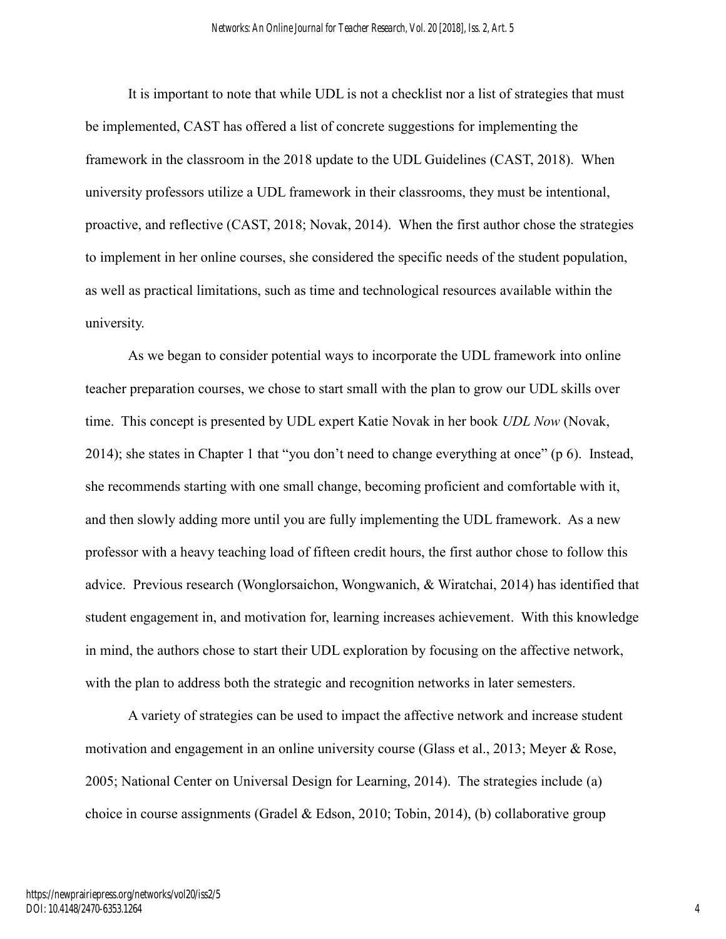It is important to note that while UDL is not a checklist nor a list of strategies that must be implemented, CAST has offered a list of concrete suggestions for implementing the framework in the classroom in the 2018 update to the UDL Guidelines (CAST, 2018). When university professors utilize a UDL framework in their classrooms, they must be intentional, proactive, and reflective (CAST, 2018; Novak, 2014). When the first author chose the strategies to implement in her online courses, she considered the specific needs of the student population, as well as practical limitations, such as time and technological resources available within the university.

As we began to consider potential ways to incorporate the UDL framework into online teacher preparation courses, we chose to start small with the plan to grow our UDL skills over time. This concept is presented by UDL expert Katie Novak in her book *UDL Now* (Novak, 2014); she states in Chapter 1 that "you don't need to change everything at once" (p 6). Instead, she recommends starting with one small change, becoming proficient and comfortable with it, and then slowly adding more until you are fully implementing the UDL framework. As a new professor with a heavy teaching load of fifteen credit hours, the first author chose to follow this advice. Previous research (Wonglorsaichon, Wongwanich, & Wiratchai, 2014) has identified that student engagement in, and motivation for, learning increases achievement. With this knowledge in mind, the authors chose to start their UDL exploration by focusing on the affective network, with the plan to address both the strategic and recognition networks in later semesters.

A variety of strategies can be used to impact the affective network and increase student motivation and engagement in an online university course (Glass et al., 2013; Meyer & Rose, 2005; National Center on Universal Design for Learning, 2014). The strategies include (a) choice in course assignments (Gradel & Edson, 2010; Tobin, 2014), (b) collaborative group

4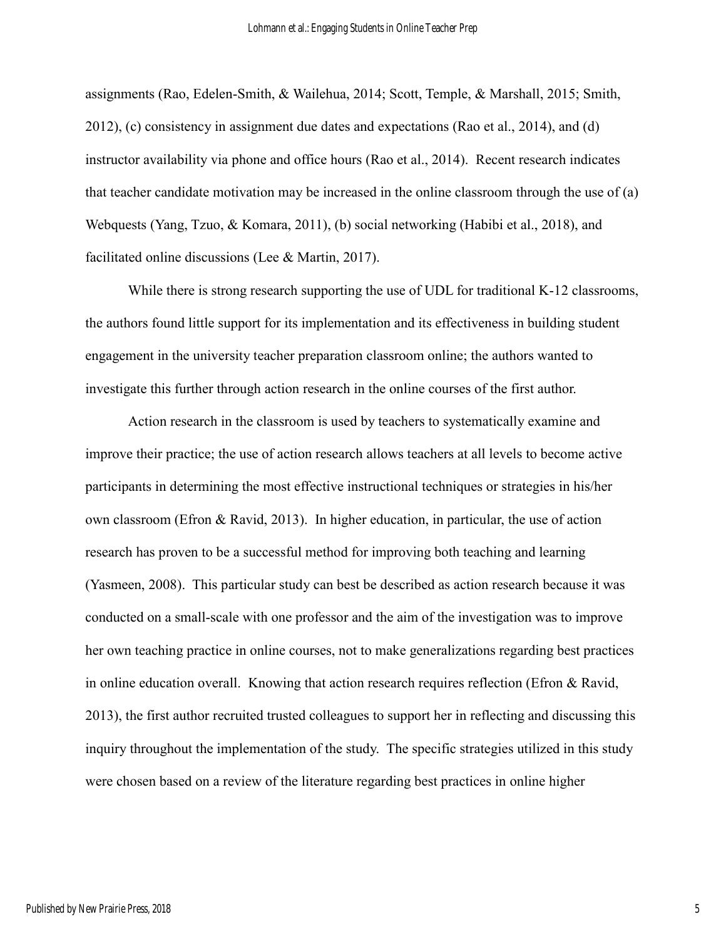assignments (Rao, Edelen-Smith, & Wailehua, 2014; Scott, Temple, & Marshall, 2015; Smith, 2012), (c) consistency in assignment due dates and expectations (Rao et al., 2014), and (d) instructor availability via phone and office hours (Rao et al., 2014). Recent research indicates that teacher candidate motivation may be increased in the online classroom through the use of (a) Webquests (Yang, Tzuo, & Komara, 2011), (b) social networking (Habibi et al., 2018), and facilitated online discussions (Lee & Martin, 2017).

While there is strong research supporting the use of UDL for traditional K-12 classrooms, the authors found little support for its implementation and its effectiveness in building student engagement in the university teacher preparation classroom online; the authors wanted to investigate this further through action research in the online courses of the first author.

Action research in the classroom is used by teachers to systematically examine and improve their practice; the use of action research allows teachers at all levels to become active participants in determining the most effective instructional techniques or strategies in his/her own classroom (Efron & Ravid, 2013). In higher education, in particular, the use of action research has proven to be a successful method for improving both teaching and learning (Yasmeen, 2008). This particular study can best be described as action research because it was conducted on a small-scale with one professor and the aim of the investigation was to improve her own teaching practice in online courses, not to make generalizations regarding best practices in online education overall. Knowing that action research requires reflection (Efron & Ravid, 2013), the first author recruited trusted colleagues to support her in reflecting and discussing this inquiry throughout the implementation of the study. The specific strategies utilized in this study were chosen based on a review of the literature regarding best practices in online higher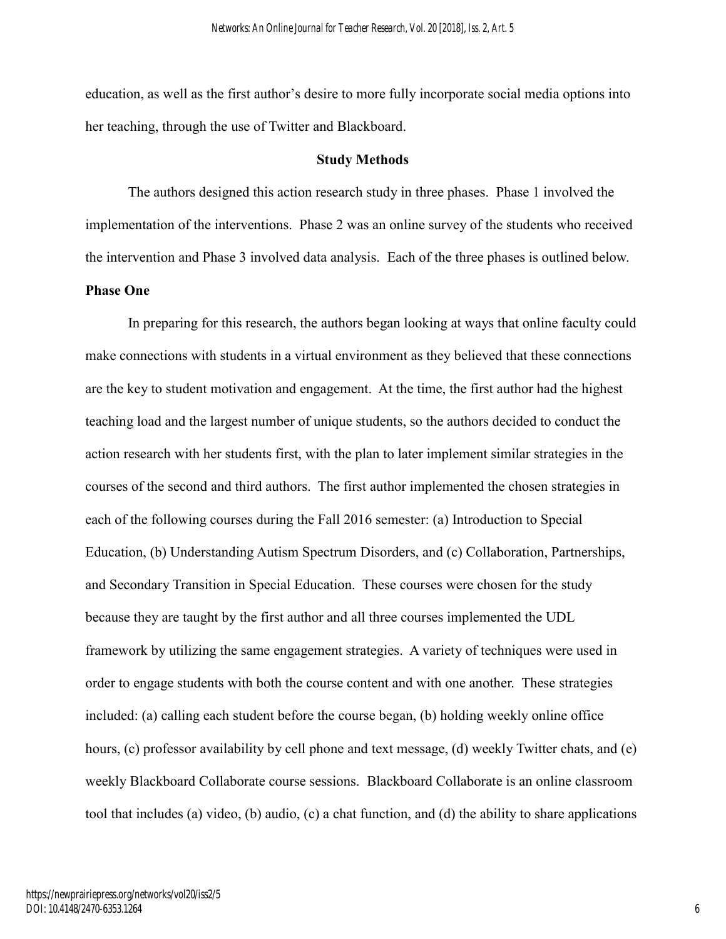education, as well as the first author's desire to more fully incorporate social media options into her teaching, through the use of Twitter and Blackboard.

#### **Study Methods**

The authors designed this action research study in three phases. Phase 1 involved the implementation of the interventions. Phase 2 was an online survey of the students who received the intervention and Phase 3 involved data analysis. Each of the three phases is outlined below. **Phase One**

In preparing for this research, the authors began looking at ways that online faculty could make connections with students in a virtual environment as they believed that these connections are the key to student motivation and engagement. At the time, the first author had the highest teaching load and the largest number of unique students, so the authors decided to conduct the action research with her students first, with the plan to later implement similar strategies in the courses of the second and third authors. The first author implemented the chosen strategies in each of the following courses during the Fall 2016 semester: (a) Introduction to Special Education, (b) Understanding Autism Spectrum Disorders, and (c) Collaboration, Partnerships, and Secondary Transition in Special Education. These courses were chosen for the study because they are taught by the first author and all three courses implemented the UDL framework by utilizing the same engagement strategies. A variety of techniques were used in order to engage students with both the course content and with one another. These strategies included: (a) calling each student before the course began, (b) holding weekly online office hours, (c) professor availability by cell phone and text message, (d) weekly Twitter chats, and (e) weekly Blackboard Collaborate course sessions. Blackboard Collaborate is an online classroom tool that includes (a) video, (b) audio, (c) a chat function, and (d) the ability to share applications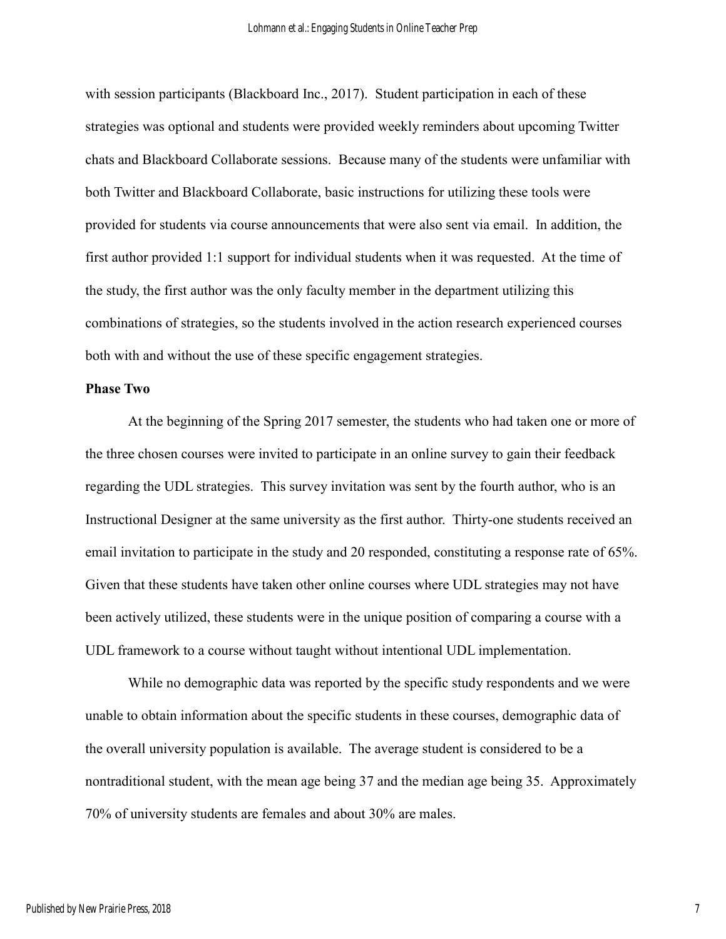with session participants (Blackboard Inc., 2017). Student participation in each of these strategies was optional and students were provided weekly reminders about upcoming Twitter chats and Blackboard Collaborate sessions. Because many of the students were unfamiliar with both Twitter and Blackboard Collaborate, basic instructions for utilizing these tools were provided for students via course announcements that were also sent via email. In addition, the first author provided 1:1 support for individual students when it was requested. At the time of the study, the first author was the only faculty member in the department utilizing this combinations of strategies, so the students involved in the action research experienced courses both with and without the use of these specific engagement strategies.

#### **Phase Two**

At the beginning of the Spring 2017 semester, the students who had taken one or more of the three chosen courses were invited to participate in an online survey to gain their feedback regarding the UDL strategies. This survey invitation was sent by the fourth author, who is an Instructional Designer at the same university as the first author. Thirty-one students received an email invitation to participate in the study and 20 responded, constituting a response rate of 65%. Given that these students have taken other online courses where UDL strategies may not have been actively utilized, these students were in the unique position of comparing a course with a UDL framework to a course without taught without intentional UDL implementation.

While no demographic data was reported by the specific study respondents and we were unable to obtain information about the specific students in these courses, demographic data of the overall university population is available. The average student is considered to be a nontraditional student, with the mean age being 37 and the median age being 35. Approximately 70% of university students are females and about 30% are males.

7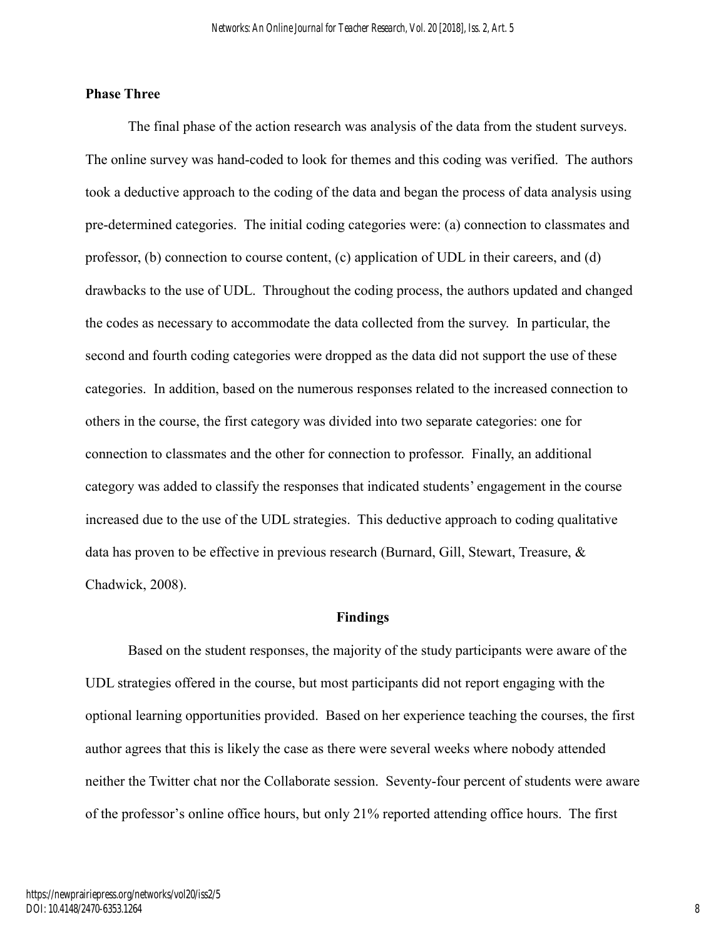## **Phase Three**

The final phase of the action research was analysis of the data from the student surveys. The online survey was hand-coded to look for themes and this coding was verified. The authors took a deductive approach to the coding of the data and began the process of data analysis using pre-determined categories. The initial coding categories were: (a) connection to classmates and professor, (b) connection to course content, (c) application of UDL in their careers, and (d) drawbacks to the use of UDL. Throughout the coding process, the authors updated and changed the codes as necessary to accommodate the data collected from the survey. In particular, the second and fourth coding categories were dropped as the data did not support the use of these categories. In addition, based on the numerous responses related to the increased connection to others in the course, the first category was divided into two separate categories: one for connection to classmates and the other for connection to professor. Finally, an additional category was added to classify the responses that indicated students' engagement in the course increased due to the use of the UDL strategies. This deductive approach to coding qualitative data has proven to be effective in previous research (Burnard, Gill, Stewart, Treasure, & Chadwick, 2008).

#### **Findings**

Based on the student responses, the majority of the study participants were aware of the UDL strategies offered in the course, but most participants did not report engaging with the optional learning opportunities provided. Based on her experience teaching the courses, the first author agrees that this is likely the case as there were several weeks where nobody attended neither the Twitter chat nor the Collaborate session. Seventy-four percent of students were aware of the professor's online office hours, but only 21% reported attending office hours. The first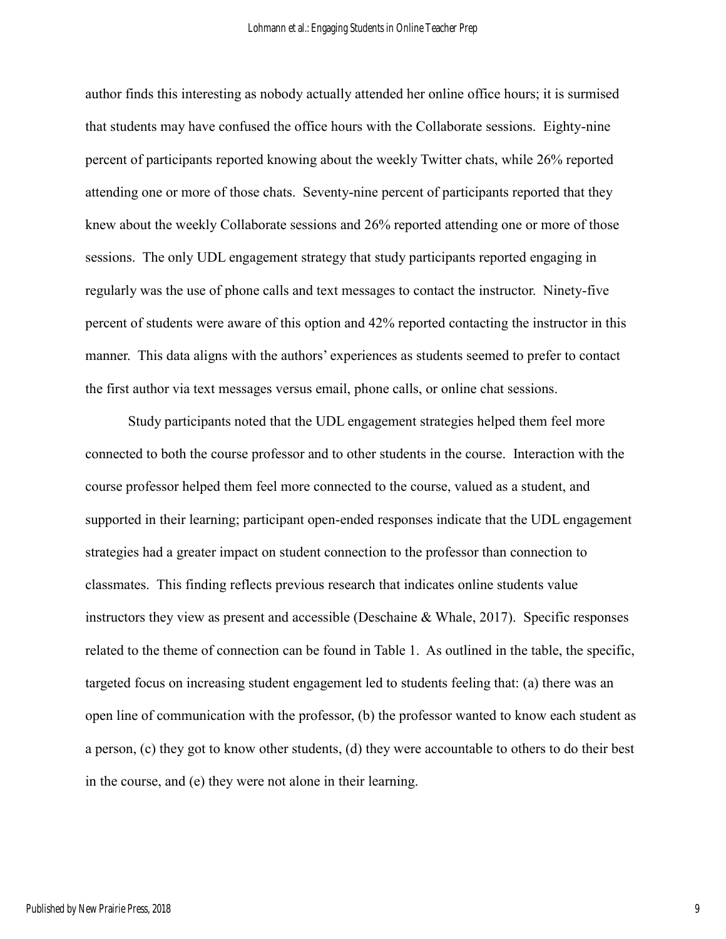author finds this interesting as nobody actually attended her online office hours; it is surmised that students may have confused the office hours with the Collaborate sessions. Eighty-nine percent of participants reported knowing about the weekly Twitter chats, while 26% reported attending one or more of those chats. Seventy-nine percent of participants reported that they knew about the weekly Collaborate sessions and 26% reported attending one or more of those sessions. The only UDL engagement strategy that study participants reported engaging in regularly was the use of phone calls and text messages to contact the instructor. Ninety-five percent of students were aware of this option and 42% reported contacting the instructor in this manner. This data aligns with the authors' experiences as students seemed to prefer to contact the first author via text messages versus email, phone calls, or online chat sessions.

Study participants noted that the UDL engagement strategies helped them feel more connected to both the course professor and to other students in the course. Interaction with the course professor helped them feel more connected to the course, valued as a student, and supported in their learning; participant open-ended responses indicate that the UDL engagement strategies had a greater impact on student connection to the professor than connection to classmates. This finding reflects previous research that indicates online students value instructors they view as present and accessible (Deschaine & Whale, 2017). Specific responses related to the theme of connection can be found in Table 1. As outlined in the table, the specific, targeted focus on increasing student engagement led to students feeling that: (a) there was an open line of communication with the professor, (b) the professor wanted to know each student as a person, (c) they got to know other students, (d) they were accountable to others to do their best in the course, and (e) they were not alone in their learning.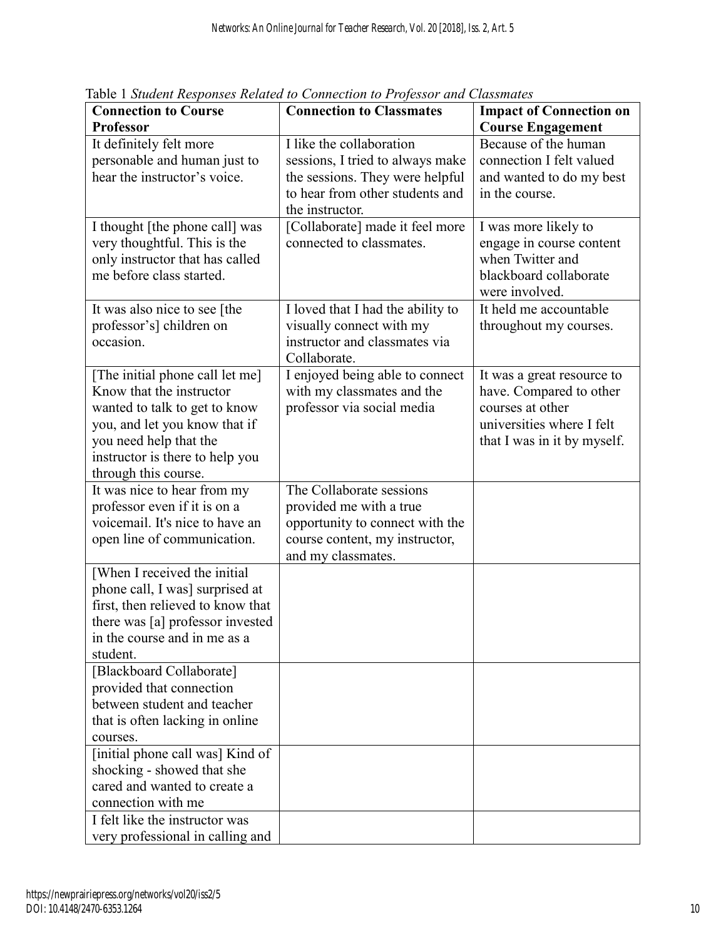| <b>Connection to Course</b>                                     | <b>Connection to Classmates</b>                               | <b>Impact of Connection on</b>           |
|-----------------------------------------------------------------|---------------------------------------------------------------|------------------------------------------|
| <b>Professor</b>                                                |                                                               | <b>Course Engagement</b>                 |
| It definitely felt more                                         | I like the collaboration                                      | Because of the human                     |
| personable and human just to                                    | sessions, I tried to always make                              | connection I felt valued                 |
| hear the instructor's voice.                                    | the sessions. They were helpful                               | and wanted to do my best                 |
|                                                                 | to hear from other students and                               | in the course.                           |
|                                                                 | the instructor.                                               |                                          |
| I thought [the phone call] was                                  | [Collaborate] made it feel more                               | I was more likely to                     |
| very thoughtful. This is the                                    | connected to classmates.                                      | engage in course content                 |
| only instructor that has called                                 |                                                               | when Twitter and                         |
| me before class started.                                        |                                                               | blackboard collaborate                   |
|                                                                 |                                                               | were involved.<br>It held me accountable |
| It was also nice to see [the<br>professor's] children on        | I loved that I had the ability to<br>visually connect with my | throughout my courses.                   |
| occasion.                                                       | instructor and classmates via                                 |                                          |
|                                                                 | Collaborate.                                                  |                                          |
| [The initial phone call let me]                                 | I enjoyed being able to connect                               | It was a great resource to               |
| Know that the instructor                                        | with my classmates and the                                    | have. Compared to other                  |
| wanted to talk to get to know                                   | professor via social media                                    | courses at other                         |
| you, and let you know that if                                   |                                                               | universities where I felt                |
| you need help that the                                          |                                                               | that I was in it by myself.              |
| instructor is there to help you                                 |                                                               |                                          |
| through this course.                                            |                                                               |                                          |
| It was nice to hear from my                                     | The Collaborate sessions                                      |                                          |
| professor even if it is on a                                    | provided me with a true                                       |                                          |
| voicemail. It's nice to have an                                 | opportunity to connect with the                               |                                          |
| open line of communication.                                     | course content, my instructor,                                |                                          |
|                                                                 | and my classmates.                                            |                                          |
| [When I received the initial<br>phone call, I was] surprised at |                                                               |                                          |
| first, then relieved to know that                               |                                                               |                                          |
| there was [a] professor invested                                |                                                               |                                          |
| in the course and in me as a                                    |                                                               |                                          |
| student.                                                        |                                                               |                                          |
| [Blackboard Collaborate]                                        |                                                               |                                          |
| provided that connection                                        |                                                               |                                          |
| between student and teacher                                     |                                                               |                                          |
| that is often lacking in online                                 |                                                               |                                          |
| courses.                                                        |                                                               |                                          |
| [initial phone call was] Kind of                                |                                                               |                                          |
| shocking - showed that she                                      |                                                               |                                          |
| cared and wanted to create a                                    |                                                               |                                          |
| connection with me                                              |                                                               |                                          |
| I felt like the instructor was                                  |                                                               |                                          |
| very professional in calling and                                |                                                               |                                          |

Table 1 *Student Responses Related to Connection to Professor and Classmates*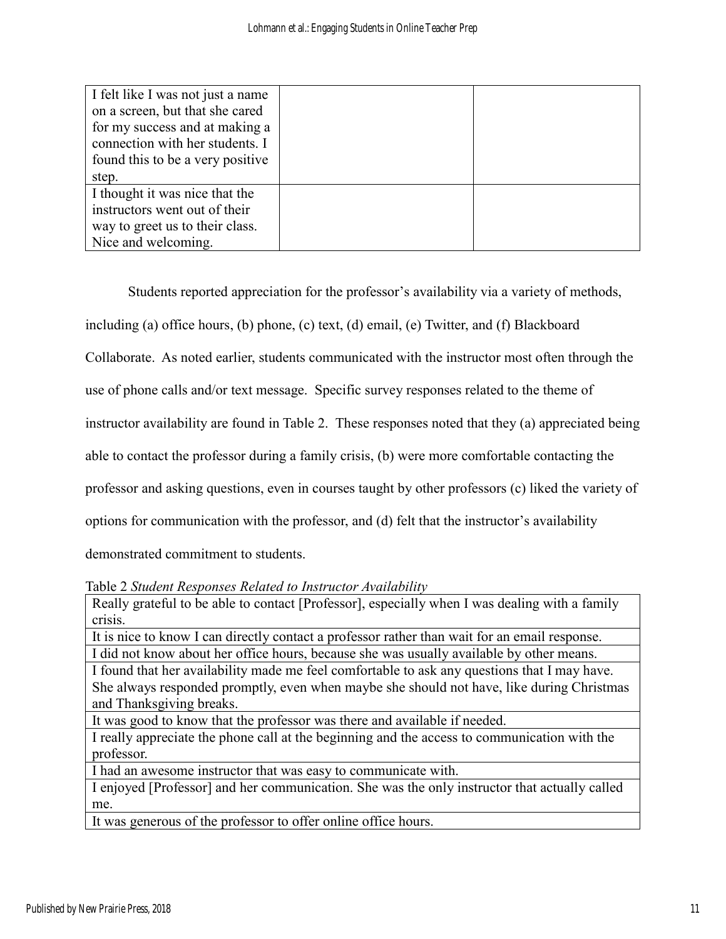| I felt like I was not just a name |  |
|-----------------------------------|--|
| on a screen, but that she cared   |  |
| for my success and at making a    |  |
| connection with her students. I   |  |
| found this to be a very positive  |  |
| step.                             |  |
| I thought it was nice that the    |  |
| instructors went out of their     |  |
| way to greet us to their class.   |  |
| Nice and welcoming.               |  |

Students reported appreciation for the professor's availability via a variety of methods, including (a) office hours, (b) phone, (c) text, (d) email, (e) Twitter, and (f) Blackboard Collaborate. As noted earlier, students communicated with the instructor most often through the use of phone calls and/or text message. Specific survey responses related to the theme of instructor availability are found in Table 2. These responses noted that they (a) appreciated being able to contact the professor during a family crisis, (b) were more comfortable contacting the professor and asking questions, even in courses taught by other professors (c) liked the variety of options for communication with the professor, and (d) felt that the instructor's availability demonstrated commitment to students.

Table 2 *Student Responses Related to Instructor Availability*

Really grateful to be able to contact [Professor], especially when I was dealing with a family crisis.

It is nice to know I can directly contact a professor rather than wait for an email response. I did not know about her office hours, because she was usually available by other means.

I found that her availability made me feel comfortable to ask any questions that I may have. She always responded promptly, even when maybe she should not have, like during Christmas and Thanksgiving breaks.

It was good to know that the professor was there and available if needed.

I really appreciate the phone call at the beginning and the access to communication with the professor.

I had an awesome instructor that was easy to communicate with.

I enjoyed [Professor] and her communication. She was the only instructor that actually called me.

It was generous of the professor to offer online office hours.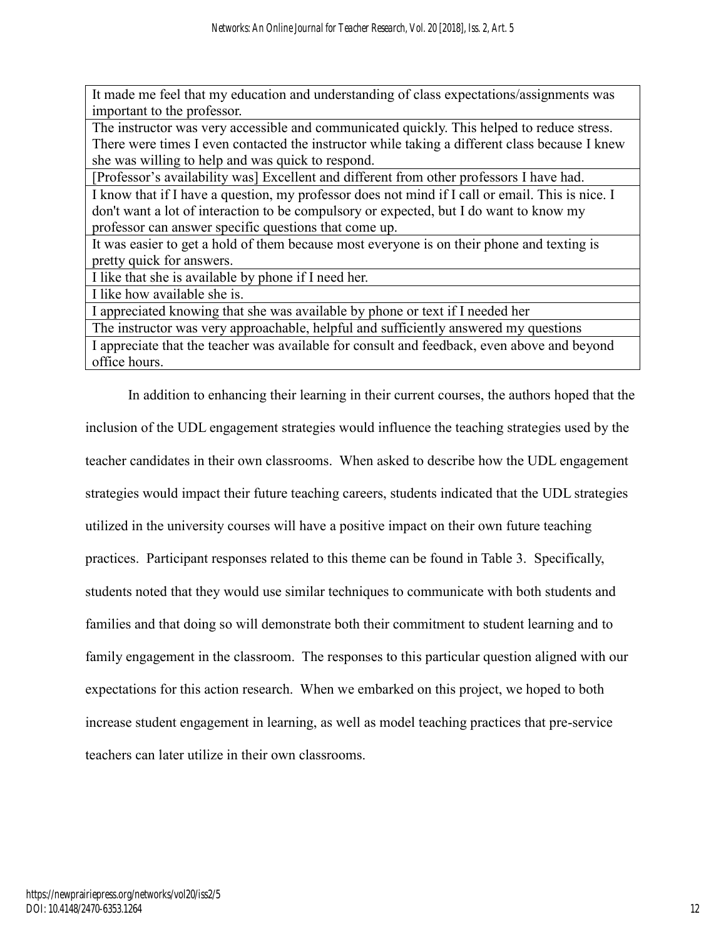It made me feel that my education and understanding of class expectations/assignments was important to the professor.

The instructor was very accessible and communicated quickly. This helped to reduce stress. There were times I even contacted the instructor while taking a different class because I knew she was willing to help and was quick to respond.

[Professor's availability was] Excellent and different from other professors I have had. I know that if I have a question, my professor does not mind if I call or email. This is nice. I don't want a lot of interaction to be compulsory or expected, but I do want to know my professor can answer specific questions that come up.

It was easier to get a hold of them because most everyone is on their phone and texting is pretty quick for answers.

I like that she is available by phone if I need her.

I like how available she is.

I appreciated knowing that she was available by phone or text if I needed her

The instructor was very approachable, helpful and sufficiently answered my questions

I appreciate that the teacher was available for consult and feedback, even above and beyond office hours.

In addition to enhancing their learning in their current courses, the authors hoped that the inclusion of the UDL engagement strategies would influence the teaching strategies used by the teacher candidates in their own classrooms. When asked to describe how the UDL engagement strategies would impact their future teaching careers, students indicated that the UDL strategies utilized in the university courses will have a positive impact on their own future teaching practices. Participant responses related to this theme can be found in Table 3. Specifically, students noted that they would use similar techniques to communicate with both students and families and that doing so will demonstrate both their commitment to student learning and to family engagement in the classroom. The responses to this particular question aligned with our expectations for this action research. When we embarked on this project, we hoped to both increase student engagement in learning, as well as model teaching practices that pre-service teachers can later utilize in their own classrooms.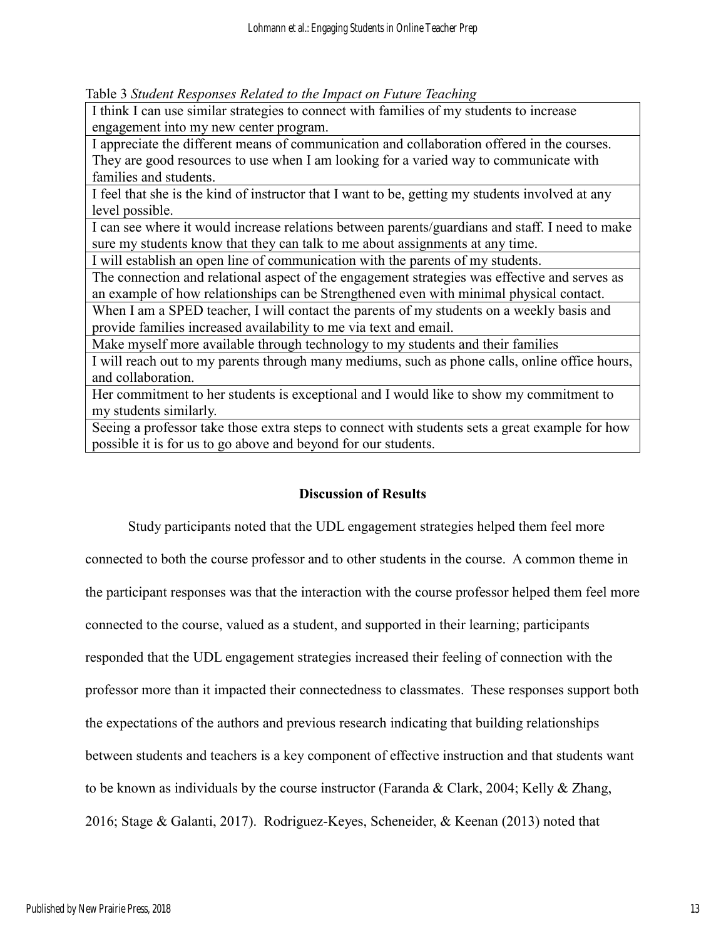Table 3 *Student Responses Related to the Impact on Future Teaching*

I think I can use similar strategies to connect with families of my students to increase engagement into my new center program.

I appreciate the different means of communication and collaboration offered in the courses. They are good resources to use when I am looking for a varied way to communicate with families and students.

I feel that she is the kind of instructor that I want to be, getting my students involved at any level possible.

I can see where it would increase relations between parents/guardians and staff. I need to make sure my students know that they can talk to me about assignments at any time.

I will establish an open line of communication with the parents of my students.

The connection and relational aspect of the engagement strategies was effective and serves as an example of how relationships can be Strengthened even with minimal physical contact.

When I am a SPED teacher, I will contact the parents of my students on a weekly basis and provide families increased availability to me via text and email.

Make myself more available through technology to my students and their families

I will reach out to my parents through many mediums, such as phone calls, online office hours, and collaboration.

Her commitment to her students is exceptional and I would like to show my commitment to my students similarly.

Seeing a professor take those extra steps to connect with students sets a great example for how possible it is for us to go above and beyond for our students.

## **Discussion of Results**

Study participants noted that the UDL engagement strategies helped them feel more

connected to both the course professor and to other students in the course. A common theme in the participant responses was that the interaction with the course professor helped them feel more connected to the course, valued as a student, and supported in their learning; participants responded that the UDL engagement strategies increased their feeling of connection with the professor more than it impacted their connectedness to classmates. These responses support both the expectations of the authors and previous research indicating that building relationships between students and teachers is a key component of effective instruction and that students want to be known as individuals by the course instructor (Faranda & Clark, 2004; Kelly & Zhang, 2016; Stage & Galanti, 2017). Rodriguez-Keyes, Scheneider, & Keenan (2013) noted that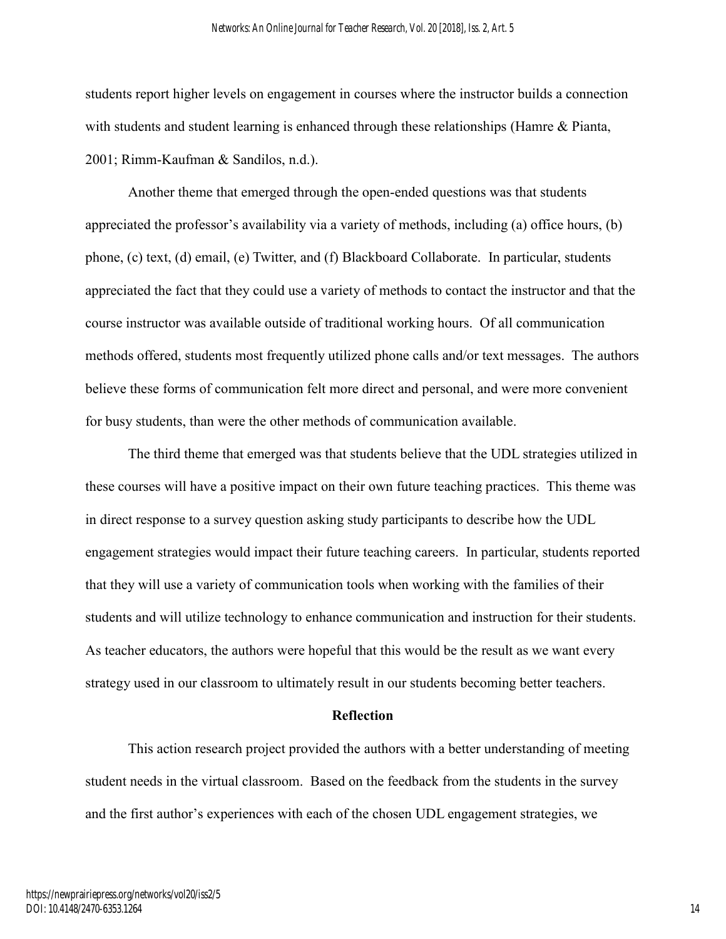students report higher levels on engagement in courses where the instructor builds a connection with students and student learning is enhanced through these relationships (Hamre & Pianta, 2001; Rimm-Kaufman & Sandilos, n.d.).

Another theme that emerged through the open-ended questions was that students appreciated the professor's availability via a variety of methods, including (a) office hours, (b) phone, (c) text, (d) email, (e) Twitter, and (f) Blackboard Collaborate. In particular, students appreciated the fact that they could use a variety of methods to contact the instructor and that the course instructor was available outside of traditional working hours. Of all communication methods offered, students most frequently utilized phone calls and/or text messages. The authors believe these forms of communication felt more direct and personal, and were more convenient for busy students, than were the other methods of communication available.

The third theme that emerged was that students believe that the UDL strategies utilized in these courses will have a positive impact on their own future teaching practices. This theme was in direct response to a survey question asking study participants to describe how the UDL engagement strategies would impact their future teaching careers. In particular, students reported that they will use a variety of communication tools when working with the families of their students and will utilize technology to enhance communication and instruction for their students. As teacher educators, the authors were hopeful that this would be the result as we want every strategy used in our classroom to ultimately result in our students becoming better teachers.

#### **Reflection**

This action research project provided the authors with a better understanding of meeting student needs in the virtual classroom. Based on the feedback from the students in the survey and the first author's experiences with each of the chosen UDL engagement strategies, we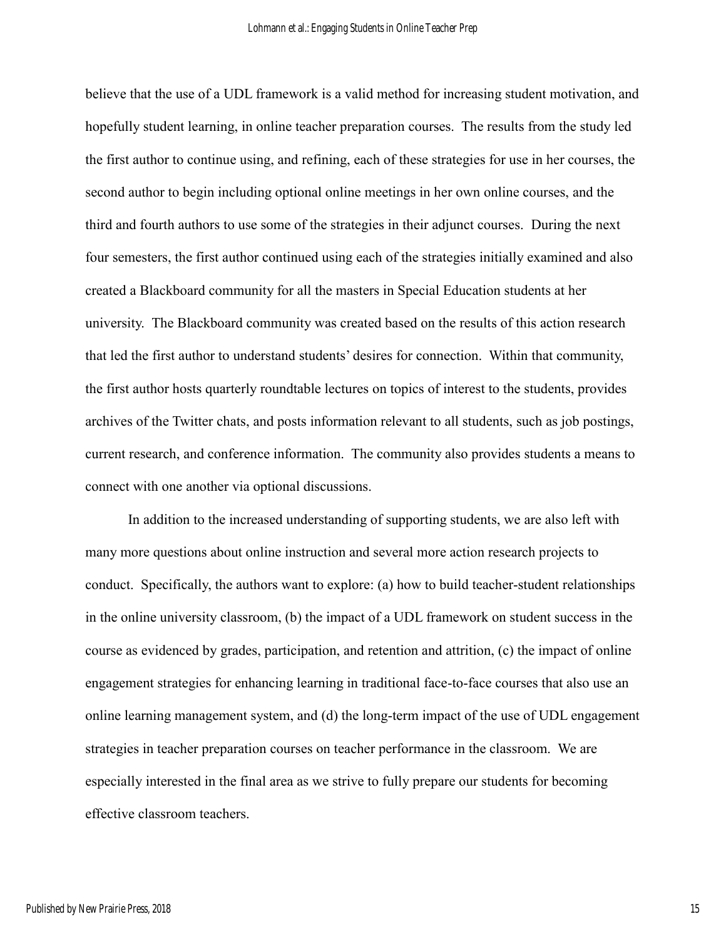believe that the use of a UDL framework is a valid method for increasing student motivation, and hopefully student learning, in online teacher preparation courses. The results from the study led the first author to continue using, and refining, each of these strategies for use in her courses, the second author to begin including optional online meetings in her own online courses, and the third and fourth authors to use some of the strategies in their adjunct courses. During the next four semesters, the first author continued using each of the strategies initially examined and also created a Blackboard community for all the masters in Special Education students at her university. The Blackboard community was created based on the results of this action research that led the first author to understand students' desires for connection. Within that community, the first author hosts quarterly roundtable lectures on topics of interest to the students, provides archives of the Twitter chats, and posts information relevant to all students, such as job postings, current research, and conference information. The community also provides students a means to connect with one another via optional discussions.

In addition to the increased understanding of supporting students, we are also left with many more questions about online instruction and several more action research projects to conduct. Specifically, the authors want to explore: (a) how to build teacher-student relationships in the online university classroom, (b) the impact of a UDL framework on student success in the course as evidenced by grades, participation, and retention and attrition, (c) the impact of online engagement strategies for enhancing learning in traditional face-to-face courses that also use an online learning management system, and (d) the long-term impact of the use of UDL engagement strategies in teacher preparation courses on teacher performance in the classroom. We are especially interested in the final area as we strive to fully prepare our students for becoming effective classroom teachers.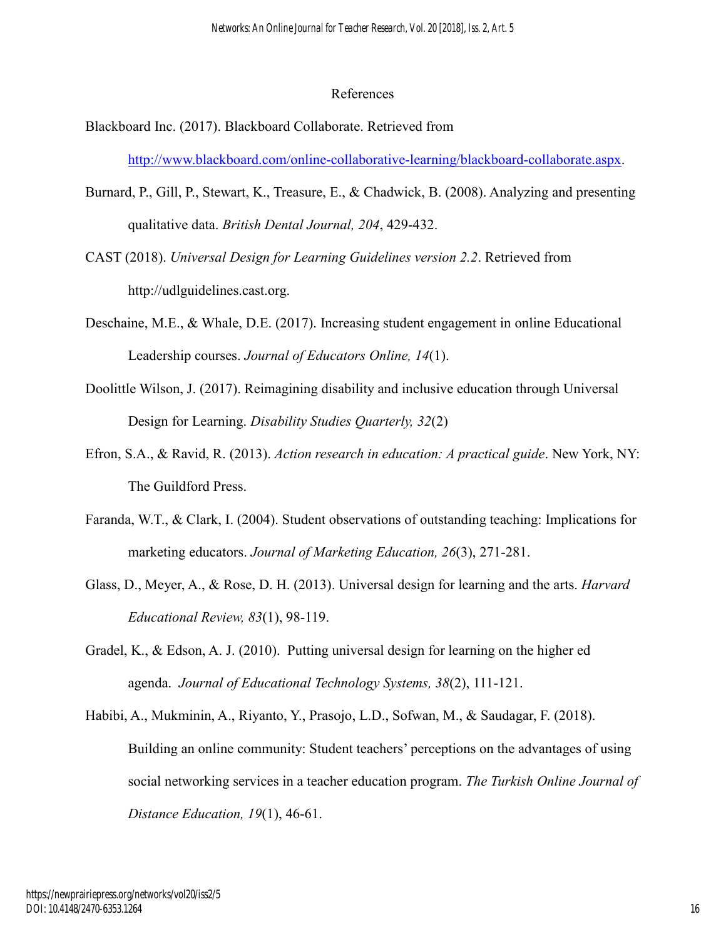#### References

- Blackboard Inc. (2017). Blackboard Collaborate. Retrieved from [http://www.blackboard.com/online-collaborative-learning/blackboard-collaborate.aspx.](http://www.blackboard.com/online-collaborative-learning/blackboard-collaborate.aspx)
- Burnard, P., Gill, P., Stewart, K., Treasure, E., & Chadwick, B. (2008). Analyzing and presenting qualitative data. *British Dental Journal, 204*, 429-432.
- CAST (2018). *Universal Design for Learning Guidelines version 2.2*. Retrieved from http://udlguidelines.cast.org.
- Deschaine, M.E., & Whale, D.E. (2017). Increasing student engagement in online Educational Leadership courses. *Journal of Educators Online, 14*(1).
- Doolittle Wilson, J. (2017). Reimagining disability and inclusive education through Universal Design for Learning. *Disability Studies Quarterly, 32*(2)
- Efron, S.A., & Ravid, R. (2013). *Action research in education: A practical guide*. New York, NY: The Guildford Press.
- Faranda, W.T., & Clark, I. (2004). Student observations of outstanding teaching: Implications for marketing educators. *Journal of Marketing Education, 26*(3), 271-281.
- Glass, D., Meyer, A., & Rose, D. H. (2013). Universal design for learning and the arts. *Harvard Educational Review, 83*(1), 98-119.
- Gradel, K., & Edson, A. J. (2010). Putting universal design for learning on the higher ed agenda. *Journal of Educational Technology Systems, 38*(2), 111-121.
- Habibi, A., Mukminin, A., Riyanto, Y., Prasojo, L.D., Sofwan, M., & Saudagar, F. (2018). Building an online community: Student teachers' perceptions on the advantages of using social networking services in a teacher education program. *The Turkish Online Journal of Distance Education, 19*(1), 46-61.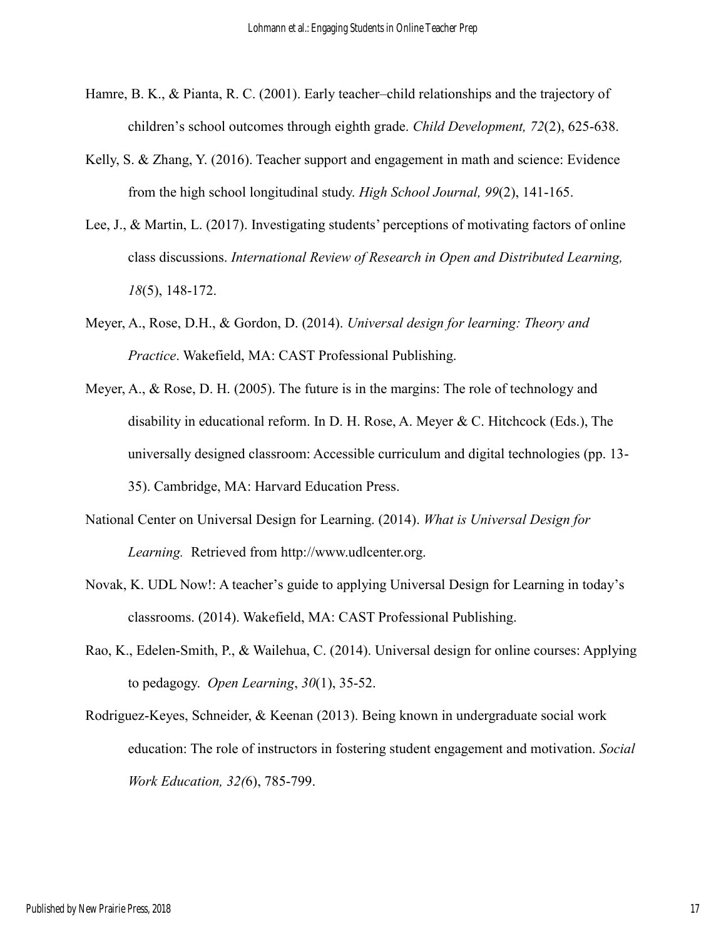- Hamre, B. K., & Pianta, R. C. (2001). Early teacher–child relationships and the trajectory of children's school outcomes through eighth grade. *Child Development, 72*(2), 625-638.
- Kelly, S. & Zhang, Y. (2016). Teacher support and engagement in math and science: Evidence from the high school longitudinal study. *High School Journal, 99*(2), 141-165.
- Lee, J., & Martin, L. (2017). Investigating students' perceptions of motivating factors of online class discussions. *International Review of Research in Open and Distributed Learning, 18*(5), 148-172.
- Meyer, A., Rose, D.H., & Gordon, D. (2014). *Universal design for learning: Theory and Practice*. Wakefield, MA: CAST Professional Publishing.
- Meyer, A., & Rose, D. H. (2005). The future is in the margins: The role of technology and disability in educational reform. In D. H. Rose, A. Meyer & C. Hitchcock (Eds.), The universally designed classroom: Accessible curriculum and digital technologies (pp. 13- 35). Cambridge, MA: Harvard Education Press.
- National Center on Universal Design for Learning. (2014). *What is Universal Design for Learning.* Retrieved from http://www.udlcenter.org.
- Novak, K. UDL Now!: A teacher's guide to applying Universal Design for Learning in today's classrooms. (2014). Wakefield, MA: CAST Professional Publishing.
- Rao, K., Edelen-Smith, P., & Wailehua, C. (2014). Universal design for online courses: Applying to pedagogy. *Open Learning*, *30*(1), 35-52.
- Rodriguez-Keyes, Schneider, & Keenan (2013). Being known in undergraduate social work education: The role of instructors in fostering student engagement and motivation. *Social Work Education, 32(*6), 785-799.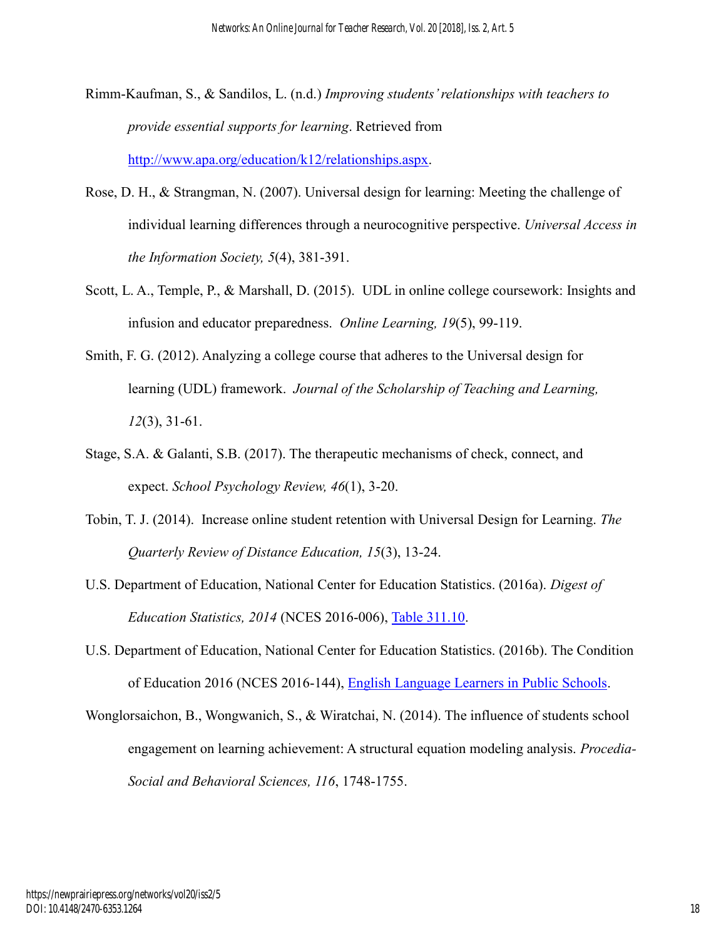- Rimm-Kaufman, S., & Sandilos, L. (n.d.) *Improving students' relationships with teachers to provide essential supports for learning*. Retrieved from [http://www.apa.org/education/k12/relationships.aspx.](http://www.apa.org/education/k12/relationships.aspx)
- Rose, D. H., & Strangman, N. (2007). Universal design for learning: Meeting the challenge of individual learning differences through a neurocognitive perspective. *Universal Access in the Information Society, 5*(4), 381-391.
- Scott, L. A., Temple, P., & Marshall, D. (2015). UDL in online college coursework: Insights and infusion and educator preparedness. *Online Learning, 19*(5), 99-119.
- Smith, F. G. (2012). Analyzing a college course that adheres to the Universal design for learning (UDL) framework. *Journal of the Scholarship of Teaching and Learning, 12*(3), 31-61.
- Stage, S.A. & Galanti, S.B. (2017). The therapeutic mechanisms of check, connect, and expect. *School Psychology Review, 46*(1), 3-20.
- Tobin, T. J. (2014). Increase online student retention with Universal Design for Learning. *The Quarterly Review of Distance Education, 15*(3), 13-24.
- U.S. Department of Education, National Center for Education Statistics. (2016a). *Digest of Education Statistics, 2014* (NCES 2016-006), [Table 311.10.](https://nces.ed.gov/programs/digest/d14/tables/dt14_311.10.asp)
- U.S. Department of Education, National Center for Education Statistics. (2016b). The Condition of Education 2016 (NCES 2016-144), [English Language Learners in Public Schools.](https://nces.ed.gov/programs/coe/indicator_cgf.asp)
- Wonglorsaichon, B., Wongwanich, S., & Wiratchai, N. (2014). The influence of students school engagement on learning achievement: A structural equation modeling analysis. *Procedia-Social and Behavioral Sciences, 116*, 1748-1755.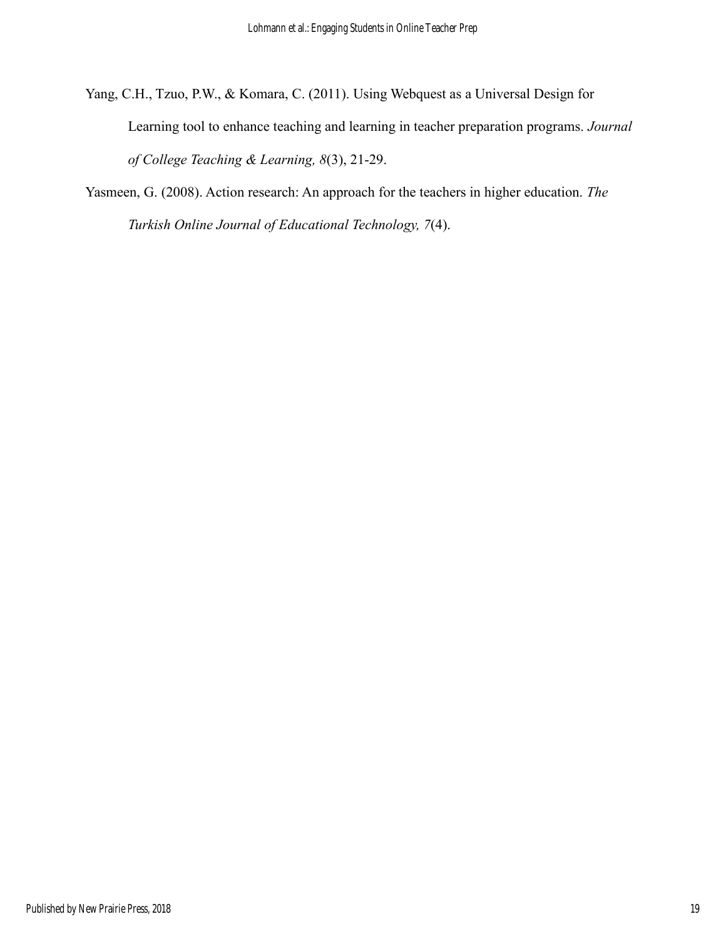- Yang, C.H., Tzuo, P.W., & Komara, C. (2011). Using Webquest as a Universal Design for Learning tool to enhance teaching and learning in teacher preparation programs. *Journal of College Teaching & Learning, 8*(3), 21-29.
- Yasmeen, G. (2008). Action research: An approach for the teachers in higher education. *The Turkish Online Journal of Educational Technology, 7*(4).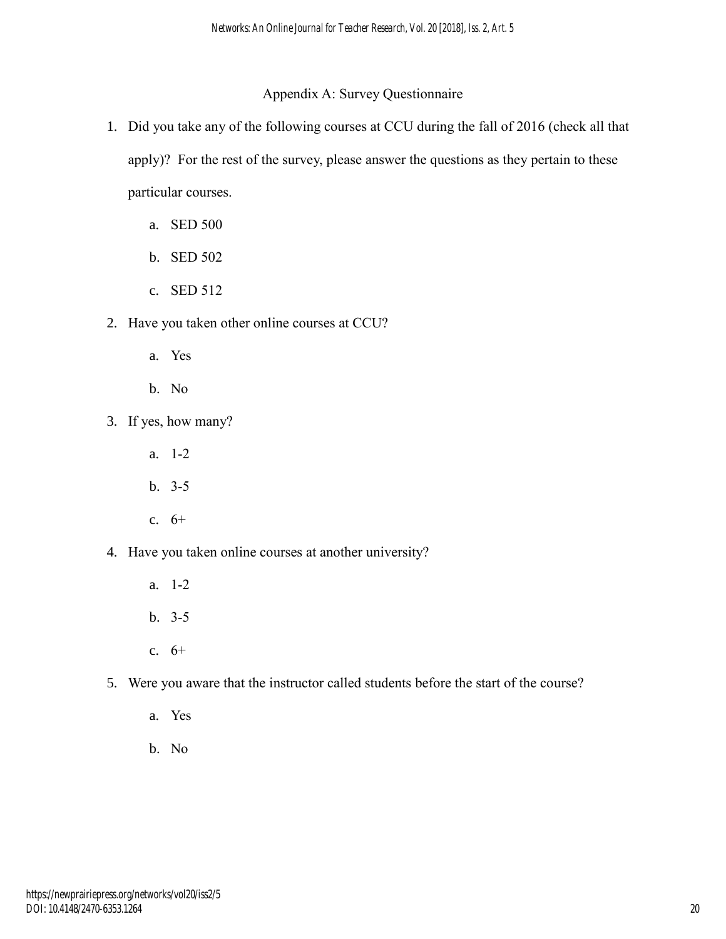## Appendix A: Survey Questionnaire

- 1. Did you take any of the following courses at CCU during the fall of 2016 (check all that apply)? For the rest of the survey, please answer the questions as they pertain to these particular courses.
	- a. SED 500
	- b. SED 502
	- c. SED 512
- 2. Have you taken other online courses at CCU?
	- a. Yes
	- b. No
- 3. If yes, how many?
	- a. 1-2
	- b. 3-5
	- c. 6+
- 4. Have you taken online courses at another university?
	- a. 1-2
	- b. 3-5
	- c. 6+
- 5. Were you aware that the instructor called students before the start of the course?
	- a. Yes
	- b. No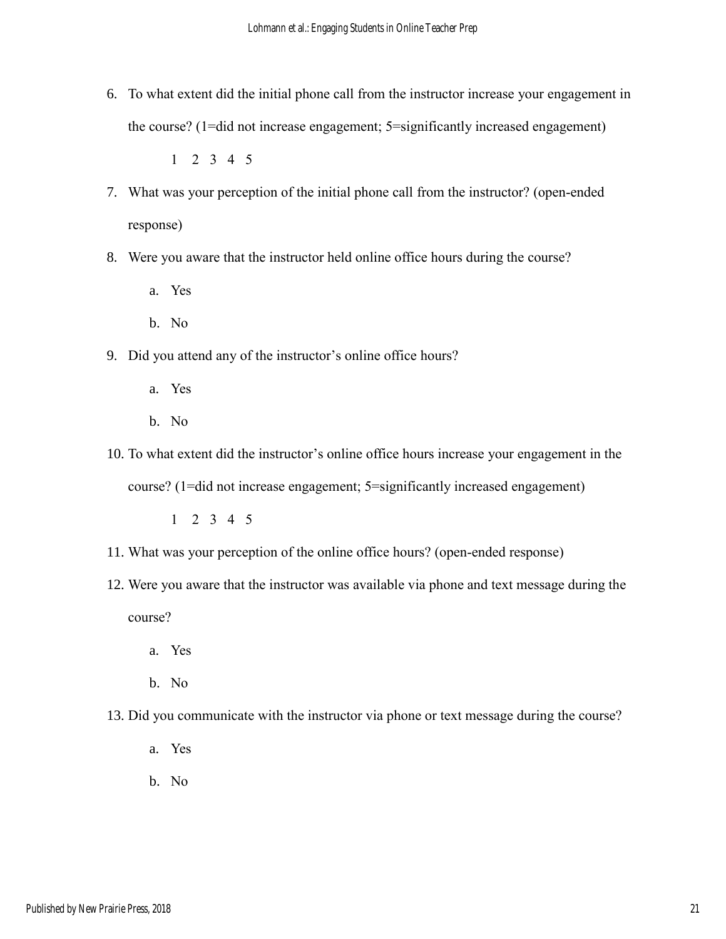6. To what extent did the initial phone call from the instructor increase your engagement in the course? (1=did not increase engagement; 5=significantly increased engagement)

1 2 3 4 5

- 7. What was your perception of the initial phone call from the instructor? (open-ended response)
- 8. Were you aware that the instructor held online office hours during the course?
	- a. Yes
	- b. No
- 9. Did you attend any of the instructor's online office hours?
	- a. Yes
	- b. No
- 10. To what extent did the instructor's online office hours increase your engagement in the course? (1=did not increase engagement; 5=significantly increased engagement)

1 2 3 4 5

- 11. What was your perception of the online office hours? (open-ended response)
- 12. Were you aware that the instructor was available via phone and text message during the course?
	- a. Yes
	- b. No
- 13. Did you communicate with the instructor via phone or text message during the course?
	- a. Yes
	- b. No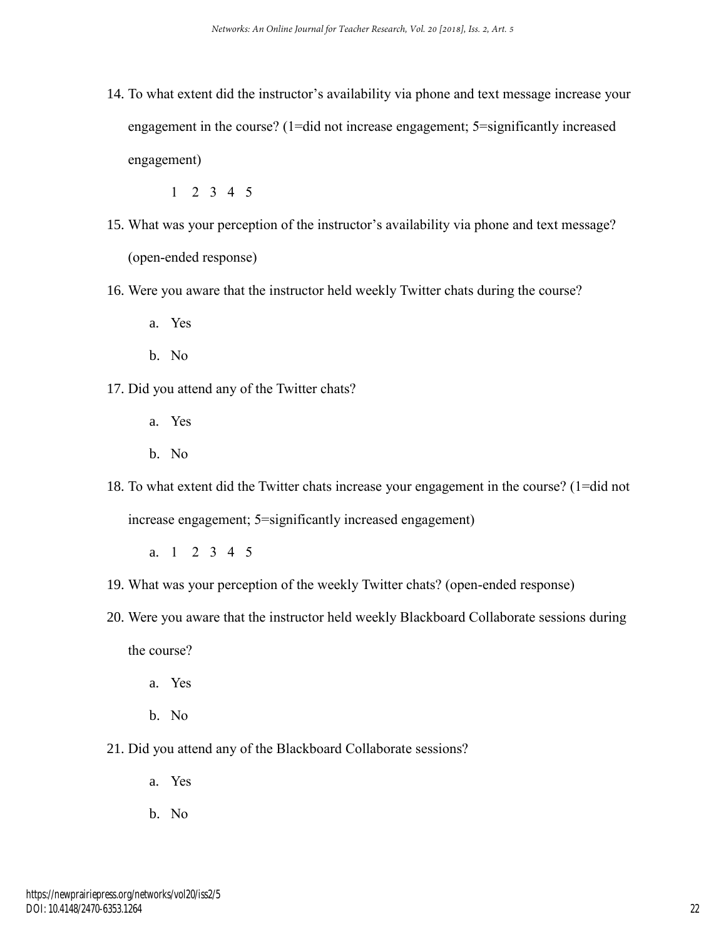14. To what extent did the instructor's availability via phone and text message increase your engagement in the course? (1=did not increase engagement; 5=significantly increased engagement)

1 2 3 4 5

- 15. What was your perception of the instructor's availability via phone and text message? (open-ended response)
- 16. Were you aware that the instructor held weekly Twitter chats during the course?
	- a. Yes
	- b. No
- 17. Did you attend any of the Twitter chats?
	- a. Yes
	- b. No
- 18. To what extent did the Twitter chats increase your engagement in the course? (1=did not increase engagement; 5=significantly increased engagement)
	- a. 1 2 3 4 5
- 19. What was your perception of the weekly Twitter chats? (open-ended response)
- 20. Were you aware that the instructor held weekly Blackboard Collaborate sessions during the course?
	- a. Yes
	- b. No
- 21. Did you attend any of the Blackboard Collaborate sessions?
	- a. Yes
	- b. No